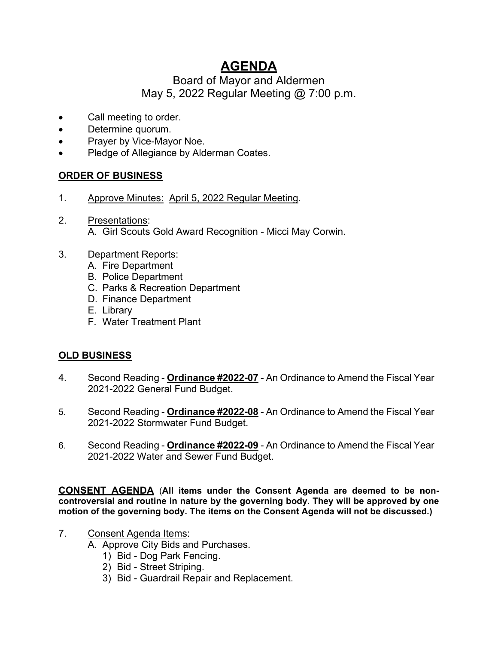# **AGENDA**

## Board of Mayor and Aldermen May 5, 2022 Regular Meeting @ 7:00 p.m.

- Call meeting to order.
- Determine quorum.
- Prayer by Vice-Mayor Noe.
- Pledge of Allegiance by Alderman Coates.

## **ORDER OF BUSINESS**

- 1. Approve Minutes: April 5, 2022 Regular Meeting.
- 2. Presentations: A. Girl Scouts Gold Award Recognition - Micci May Corwin.
- 3. Department Reports:
	- A. Fire Department
	- B. Police Department
	- C. Parks & Recreation Department
	- D. Finance Department
	- E. Library
	- F. Water Treatment Plant

## **OLD BUSINESS**

- 4. Second Reading **Ordinance #2022-07** An Ordinance to Amend the Fiscal Year 2021-2022 General Fund Budget.
- 5. Second Reading **Ordinance #2022-08** An Ordinance to Amend the Fiscal Year 2021-2022 Stormwater Fund Budget.
- 6. Second Reading **Ordinance #2022-09** An Ordinance to Amend the Fiscal Year 2021-2022 Water and Sewer Fund Budget.

**CONSENT AGENDA** (**All items under the Consent Agenda are deemed to be noncontroversial and routine in nature by the governing body. They will be approved by one motion of the governing body. The items on the Consent Agenda will not be discussed.)**

- 7. Consent Agenda Items:
	- A. Approve City Bids and Purchases.
		- 1) Bid Dog Park Fencing.
		- 2) Bid Street Striping.
		- 3) Bid Guardrail Repair and Replacement.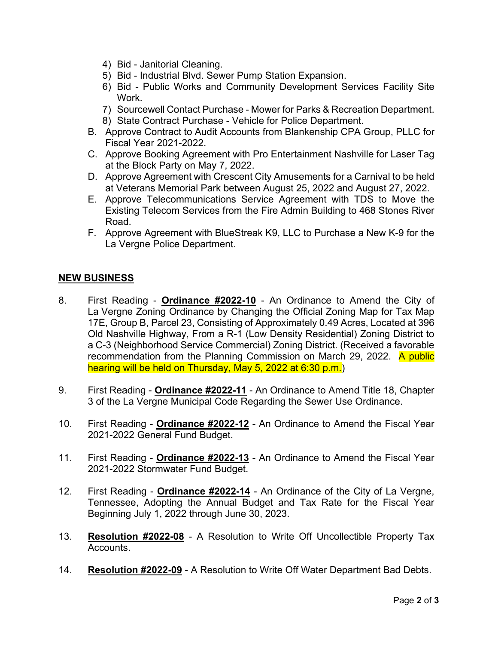- 4) Bid Janitorial Cleaning.
- 5) Bid Industrial Blvd. Sewer Pump Station Expansion.
- 6) Bid Public Works and Community Development Services Facility Site Work.
- 7) Sourcewell Contact Purchase Mower for Parks & Recreation Department. 8) State Contract Purchase - Vehicle for Police Department.
- B. Approve Contract to Audit Accounts from Blankenship CPA Group, PLLC for Fiscal Year 2021-2022.
- C. Approve Booking Agreement with Pro Entertainment Nashville for Laser Tag at the Block Party on May 7, 2022.
- D. Approve Agreement with Crescent City Amusements for a Carnival to be held at Veterans Memorial Park between August 25, 2022 and August 27, 2022.
- E. Approve Telecommunications Service Agreement with TDS to Move the Existing Telecom Services from the Fire Admin Building to 468 Stones River Road.
- F. Approve Agreement with BlueStreak K9, LLC to Purchase a New K-9 for the La Vergne Police Department.

### **NEW BUSINESS**

- 8. First Reading **Ordinance #2022-10** An Ordinance to Amend the City of La Vergne Zoning Ordinance by Changing the Official Zoning Map for Tax Map 17E, Group B, Parcel 23, Consisting of Approximately 0.49 Acres, Located at 396 Old Nashville Highway, From a R-1 (Low Density Residential) Zoning District to a C-3 (Neighborhood Service Commercial) Zoning District. (Received a favorable recommendation from the Planning Commission on March 29, 2022. A public hearing will be held on Thursday, May 5, 2022 at 6:30 p.m.)
- 9. First Reading **Ordinance #2022-11** An Ordinance to Amend Title 18, Chapter 3 of the La Vergne Municipal Code Regarding the Sewer Use Ordinance.
- 10. First Reading **Ordinance #2022-12** An Ordinance to Amend the Fiscal Year 2021-2022 General Fund Budget.
- 11. First Reading **Ordinance #2022-13** An Ordinance to Amend the Fiscal Year 2021-2022 Stormwater Fund Budget.
- 12. First Reading **Ordinance #2022-14** An Ordinance of the City of La Vergne, Tennessee, Adopting the Annual Budget and Tax Rate for the Fiscal Year Beginning July 1, 2022 through June 30, 2023.
- 13. **Resolution #2022-08** A Resolution to Write Off Uncollectible Property Tax Accounts.
- 14. **Resolution #2022-09** A Resolution to Write Off Water Department Bad Debts.